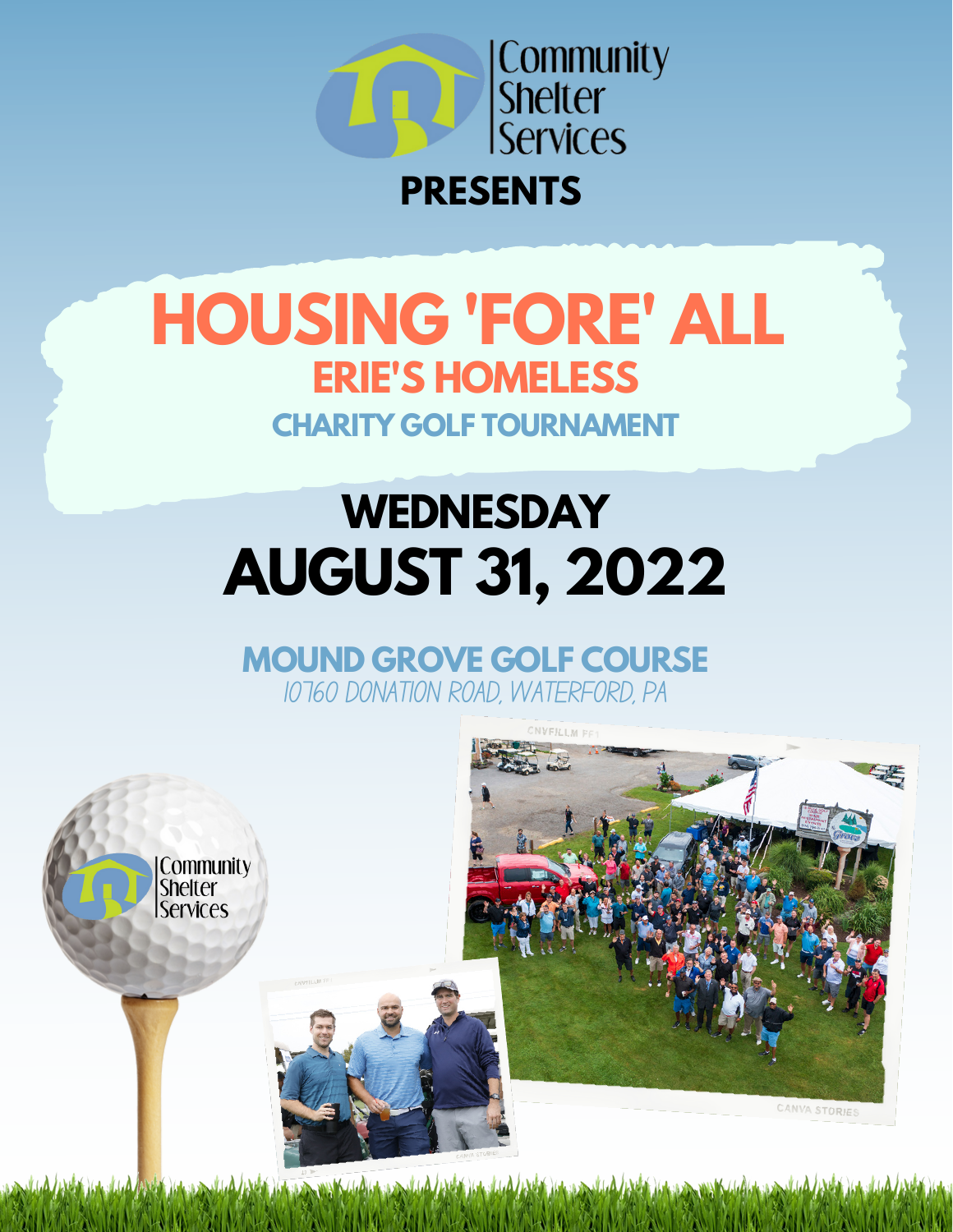

### **PRESENTS**

## **HOUSING 'FORE' ALL ERIE'S HOMELESS CHARITY GOLF TOURNAMENT**

# **WEDNESDAY AUGUST 31, 2022**

**MOUND GROVE GOLF COURSE** 10760 DONATION ROAD, WATERFORD, PA



المستحدث وأنادي كالمحادث والمنافر والمتأمل والمتأمر والمتأمل والمتأمل والمتأمل والمستحدث والمنافس والمنافس والمستحدث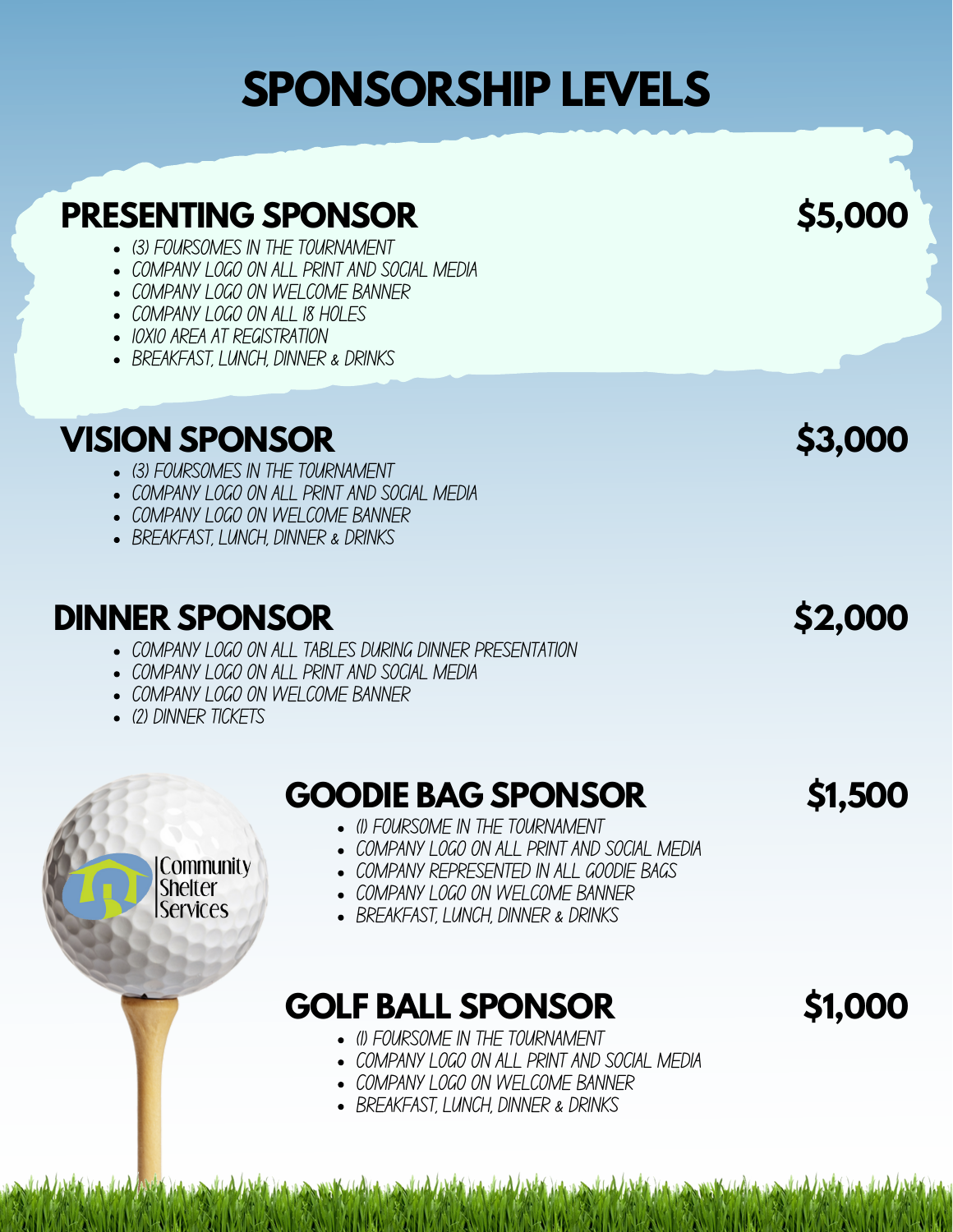#### **PRESENTING SPONSOR**

- (3) FOURSOMES IN THE TOURNAMENT
- COMPANY I OGO ON ALL PRINT AND SOCIAL MEDIA
- COMPANY LOGO ON WELCOME BANNER
- COMPANY LOGO ON ALL 18 HOLFS
- IOXIO ARFA AT RFGISTRATION
- BREAKFAST, LUNCH, DINNER & DRINKS

#### **VISION SPONSOR \$3,000**

- (3) FOURSOMES IN THE TOURNAMENT
- COMPANY I OGO ON ALL PRINT AND SOCIAL MEDIA
- COMPANY LOGO ON WELCOME BANNER
- BREAKFAST, LUNCH, DINNER & DRINKS

#### **DINNER SPONSOR \$2,000**

- COMPANY LOGO ON ALL TABLES DURING DINNER PRESENTATION
- COMPANY LOGO ON ALL PRINT AND SOCIAL MEDIA
- COMPANY I OGO ON WFI COMF BANNER
- (2) DINNER TICKETS

Community **Shelter Services** 

#### **GOODIE BAG SPONSOR \$1,500**

- (1) FOURSOME IN THE TOURNAMENT
- COMPANY I OGO ON ALL PRINT AND SOCIAL MEDIA
- COMPANY REPRESENTED IN ALL GOODIE BAGS
- COMPANY LOGO ON WELCOME BANNER
- BREAKFAST, I UNCH, DINNER & DRINKS

#### **GOLF BALL SPONSOR**

) (also a since sin ShKe/, (al) (also a since) (al) / leVdali ) (also al , (al) / leVdali ) (also a sin

- (1) FOURSOME IN THE TOURNAMENT
- COMPANY LOGO ON ALL PRINT AND SOCIAL MEDIA
- COMPANY LOGO ON WELCOME BANNER
- BREAKFAST, LUNCH, DINNER & DRINKS

**\$5,000**

### **\$1,000**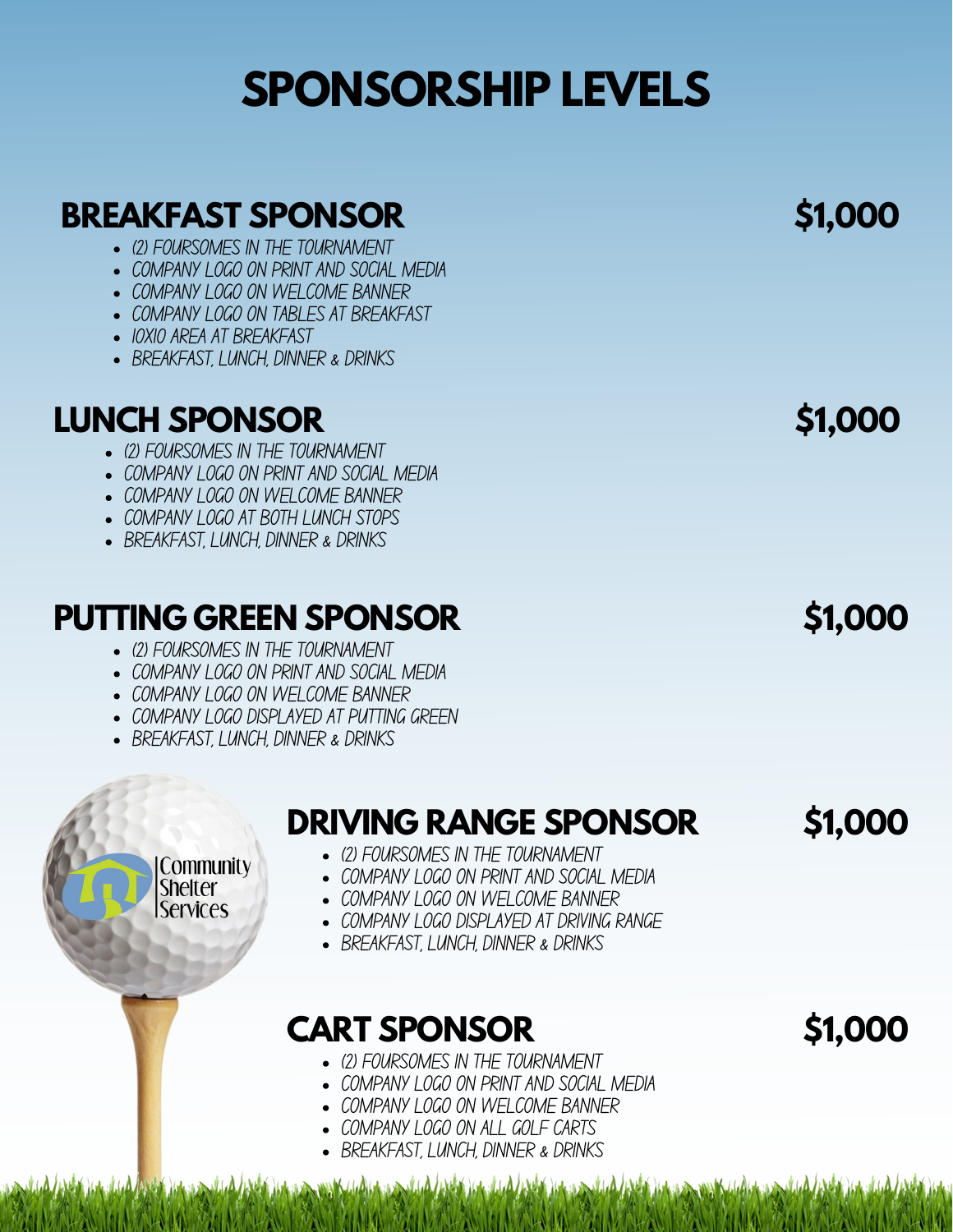#### **BREAKFAST SPONSOR \$1,000**

- (2) FOURSOMES IN THE TOURNAMENT
- COMPANY I OGO ON PRINT AND SOCIAL MEDIA
- COMPANY LOGO ON WELCOME BANNER
- COMPANY LOGO ON TABLES AT BREAKFAST
- IOXIO ARFA AT BRFAKFAST
- BREAKFAST, LUNCH, DINNER & DRINKS

### **LUNCH SPONSOR**

- (2) FOURSOMES IN THE TOURNAMENT
- COMPANY LOGO ON PRINT AND SOCIAL MEDIA
- COMPANY I OGO ON WFI COMF BANNER
- COMPANY I OGO AT BOTH I UNCH STOPS
- BREAKFAST, LUNCH, DINNER & DRINKS

#### **PUTTING GREEN SPONSOR \$1,000**

- (2) FOURSOMES IN THE TOURNAMENT
- COMPANY LOGO ON PRINT AND SOCIAL MEDIA
- COMPANY I OGO ON WFI COMF BANNER
- COMPANY I OGO DISPI AYFD AT PUTTING GRFFN
- BREAKFAST, LUNCH, DINNER & DRINKS

Community **Shelter Services** 

### **DRIVING RANGE SPONSOR \$1,000**

- (2) FOURSOMES IN THE TOURNAMENT
- COMPANY LOGO ON PRINT AND SOCIAL MEDIA
- COMPANY LOGO ON WELCOME BANNER
- COMPANY LOGO DISPLAYED AT DRIVING RANGE
- BREAKFAST, LUNCH, DINNER & DRINKS

### **CART SPONSOR**

- (2) FOURSOMES IN THE TOURNAMENT
- COMPANY I OGO ON PRINT AND SOCIAL MEDIA
- COMPANY I OGO ON WFI COMF BANNER
- COMPANY LOGO ON ALL GOLF CARTS
- BREAKFAST, LUNCH, DINNER & DRINKS

**\$1,000**

**\$1,000**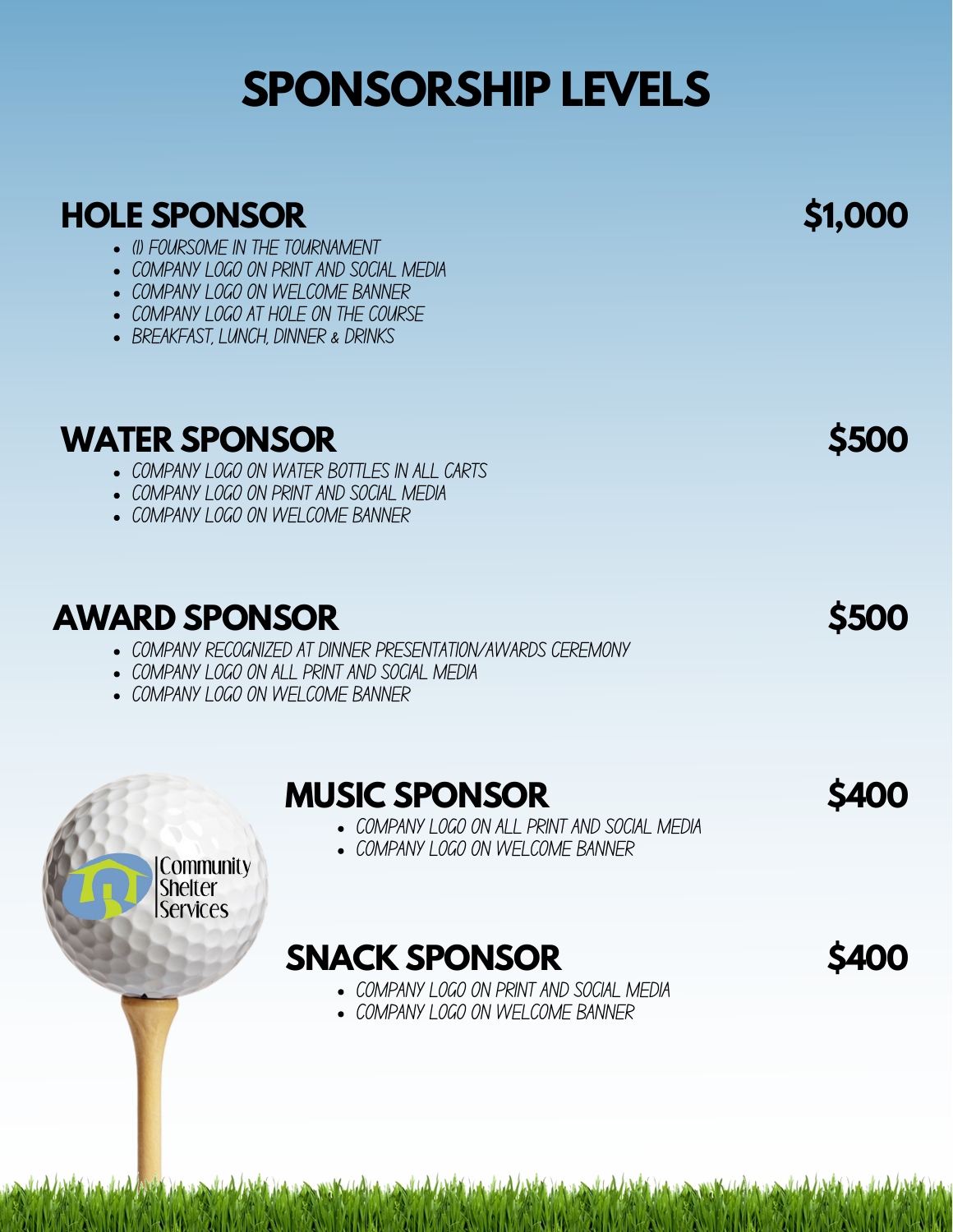#### **HOLE SPONSOR**

- (1) FOURSOME IN THE TOURNAMENT
- COMPANY I OGO ON PRINT AND SOCIAL MEDIA
- COMPANY LOGO ON WELCOME BANNER
- COMPANY LOGO AT HOLE ON THE COURSE
- BREAKFAST, LUNCH, DINNER & DRINKS

#### **WATER SPONSOR \$500**

- COMPANY I OGO ON WATER BOTTLES IN ALL CARTS
- COMPANY I OGO ON PRINT AND SOCIAL MEDIA
- COMPANY I OGO ON WFI COMF BANNER

### **AWARD SPONSOR \$500**

Community **Shelter Services** 

- COMPANY RECOGNIZED AT DINNER PRESENTATION/AWARDS CEREMONY
- COMPANY LOGO ON ALL PRINT AND SOCIAL MEDIA
- COMPANY I OGO ON WFI COMF BANNER

#### **MUSIC SPONSOR \$400**

- COMPANY LOGO ON ALL PRINT AND SOCIAL MEDIA
- COMPANY I OGO ON WFI COMF BANNER

#### **SNACK SPONSOR**

- COMPANY I OGO ON PRINT AND SOCIAL MEDIA
- COMPANY I OGO ON WFI COMF BANNER

AlaAldata oo soo allaad AlaAlda la dagalad AlaAlda la daga soo soo

**\$1,000**

**\$400**